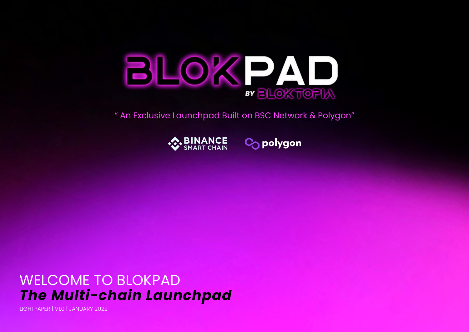

" An Exclusive Launchpad Built on BSC Network & Polygon"





## WELCOME TO BLOKPAD *The Multi-chain Launchpad*

LIGHTPAPER | V1.0 | JANUARY 2022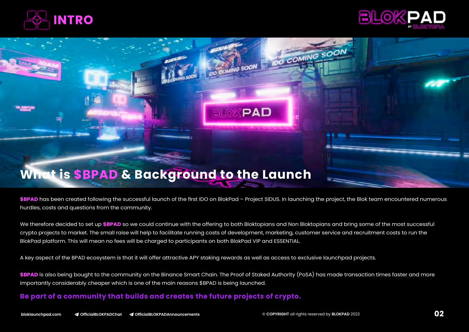



# **BLOKPAD What is \$BPAD & Background to the Launch**

\$BPAD has been created following the successful launch of the first IDO on BlokPad - Project SIDUS. In launching the project, the Blok team encountered numerous hurdles, costs and questions from the community.

We therefore decided to set up **\$BPAD** so we could continue with the offering to both Bloktopians and Non Bloktopians and bring some of the most successful crypto projects to market. The small raise will help to facilitate running costs of development, marketing, customer service and recruitment costs to run the BlokPad platform. This will mean no fees will be charged to participants on both BlokPad VIP and ESSENTIAL.

A key aspect of the BPAD ecosystem is that it will offer attractive APY staking rewards as well as access to exclusive launchpad projects.

**\$BPAD** is also being bought to the community on the Binance Smart Chain. The Proof of Staked Authority (PoSA) has made transaction times faster and more importantly considerably cheaper which is one of the main reasons \$BPAD is being launched.

#### **Be part of a community that builds and creates the future projects of crypto.**

O COMING SOON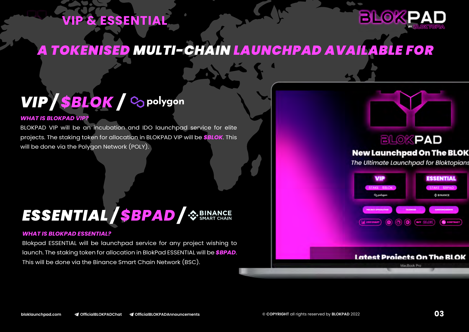## **VIP & ESSENTIAL**



## *A TOKENISED MULTI-CHAIN LAUNCHPAD AVAILABLE FOR*

## *VIP / / \$BLOK*

#### *WHAT IS BLOKPAD VIP?*

BLOKPAD VIP will be an incubation and IDO launchpad service for elite projects. The staking token for allocation in BLOKPAD VIP will be *\$BLOK*. This will be done via the Polygon Network (POLY).

## *ESSENTIAL / / \$BPAD*

#### *WHAT IS BLOKPAD ESSENTIAL?*

Blokpad ESSENTIAL will be launchpad service for any project wishing to launch. The staking token for allocation in BlokPad ESSENTIAL will be *\$BPAD*. This will be done via the Binance Smart Chain Network (BSC).



### **BLOKPAD**

#### **New Launchpad On The BLOK**

The Ultimate Launchpad for Bloktopians

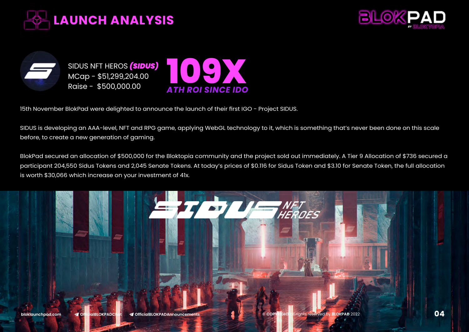





15th November BlokPad were delighted to announce the launch of their first IGO - Project SIDUS.

SIDUS is developing an AAA-level, NFT and RPG game, applying WebGL technology to it, which is something that's never been done on this scale before, to create a new generation of gaming.

BlokPad secured an allocation of \$500,000 for the Bloktopia community and the project sold out immediately. A Tier 9 Allocation of \$736 secured a participant 204,550 Sidus Tokens and 2,045 Senate Tokens. At today's prices of \$0.116 for Sidus Token and \$3.10 for Senate Token, the full allocation is worth \$30,066 which increase on your investment of 41x.

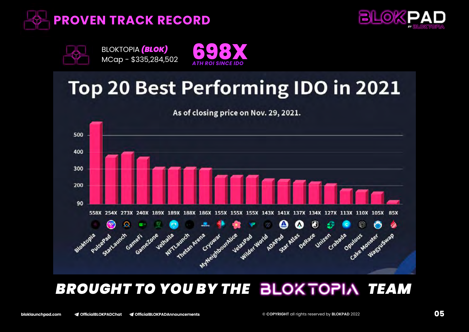







## **Top 20 Best Performing IDO in 2021**



## **BROUGHT TO YOU BY THE BLOKTOPIA TEAM**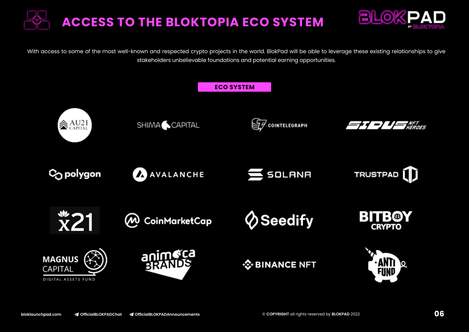



With access to some of the most well-known and respected crypto projects in the world. BlokPad will be able to leverage these existing relationships to give stakeholders unbelievable foundations and potential earning opportunities.

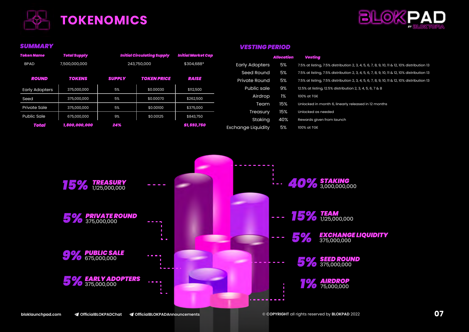



| Token Name            | <b>Total Supply</b> | <b>Initial Circulating Supply</b> |                    | <b>Initial Market Cap</b>           |                               |
|-----------------------|---------------------|-----------------------------------|--------------------|-------------------------------------|-------------------------------|
| <b>BPAD</b>           | 7,500,000,000       | 243,750,000                       |                    | \$304,688*<br><b>Early Adopters</b> |                               |
|                       |                     |                                   |                    |                                     | <b>Seed Round</b>             |
| <b>ROUND</b>          | TOKENS              | <b>SUPPLY</b>                     | <b>TOKEN PRICE</b> | <b>RAISE</b>                        | <b>Private Round</b>          |
| <b>Early Adopters</b> | 375,000,000         | 5%                                | \$0,00030          | \$112,500                           | <b>Public sale</b>            |
| Seed                  | 375,000,000         | 5%                                | \$0,00070          | \$262,500                           | Airdrop                       |
| <b>Private Sale</b>   | 375,000,000         | 5%                                | \$0,00100          | \$375,000                           | Team                          |
| Public Sale           | 675,000,000         | 9%                                | \$0,00125          | \$843,750                           | Treasury                      |
| Total                 | 1,800,000,000       | 24%                               |                    | \$1,593,750                         | Staking<br>Exchange Liquidity |

#### *SUMMARY VESTING PERIOD***s**

|                       | Allocation | Vestina                                                                                     |
|-----------------------|------------|---------------------------------------------------------------------------------------------|
| <b>Early Adopters</b> | 5%         | 7.5% at listing, 7.5% distribution 2, 3, 4, 5, 6, 7, 8, 9, 10, 11 & 12, 10% distribution 13 |
| Seed Round            | 5%         | 7.5% at listing, 7.5% distribution 2, 3, 4, 5, 6, 7, 8, 9, 10, 11 & 12, 10% distribution 13 |
| <b>Private Round</b>  | 5%         | 7.5% at listing, 7.5% distribution 2, 3, 4, 5, 6, 7, 8, 9, 10, 11 & 12, 10% distribution 13 |
| Public sale           | 9%         | 12.5% at listing, 12.5% distribution 2, 3, 4, 5, 6, 7 & 8                                   |
| Airdrop               | 1%         | 100% at TGE                                                                                 |
| Team                  | 15%        | Unlocked in month 6, linearly released in 12 months                                         |
| Treasury              | 15%        | Unlocked as needed                                                                          |
| Stakina               | 40%        | Rewards given from launch                                                                   |
| Exchange Liquidity    | 5%         | 100% at TGE                                                                                 |